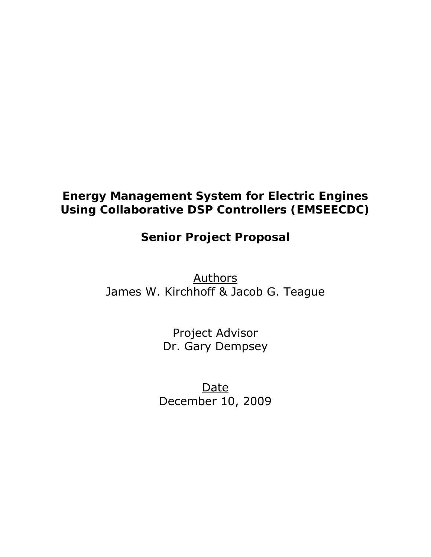# **Energy Management System for Electric Engines Using Collaborative DSP Controllers (EMSEECDC)**

# **Senior Project Proposal**

Authors James W. Kirchhoff & Jacob G. Teague

> Project Advisor Dr. Gary Dempsey

**Date** December 10, 2009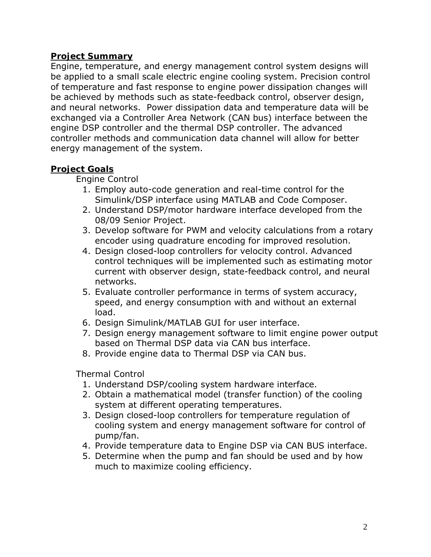# **Project Summary**

Engine, temperature, and energy management control system designs will be applied to a small scale electric engine cooling system. Precision control of temperature and fast response to engine power dissipation changes will be achieved by methods such as state-feedback control, observer design, and neural networks. Power dissipation data and temperature data will be exchanged via a Controller Area Network (CAN bus) interface between the engine DSP controller and the thermal DSP controller. The advanced controller methods and communication data channel will allow for better energy management of the system.

# **Project Goals**

## *Engine Control*

- 1. Employ auto-code generation and real-time control for the Simulink/DSP interface using MATLAB and Code Composer.
- 2. Understand DSP/motor hardware interface developed from the 08/09 Senior Project.
- 3. Develop software for PWM and velocity calculations from a rotary encoder using quadrature encoding for improved resolution.
- 4. Design closed-loop controllers for velocity control. Advanced control techniques will be implemented such as estimating motor current with observer design, state-feedback control, and neural networks.
- 5. Evaluate controller performance in terms of system accuracy, speed, and energy consumption with and without an external load.
- 6. Design Simulink/MATLAB GUI for user interface.
- 7. Design energy management software to limit engine power output based on Thermal DSP data via CAN bus interface.
- 8. Provide engine data to Thermal DSP via CAN bus.

### *Thermal Control*

- 1. Understand DSP/cooling system hardware interface.
- 2. Obtain a mathematical model (transfer function) of the cooling system at different operating temperatures.
- 3. Design closed-loop controllers for temperature regulation of cooling system and energy management software for control of pump/fan.
- 4. Provide temperature data to Engine DSP via CAN BUS interface.
- 5. Determine when the pump and fan should be used and by how much to maximize cooling efficiency.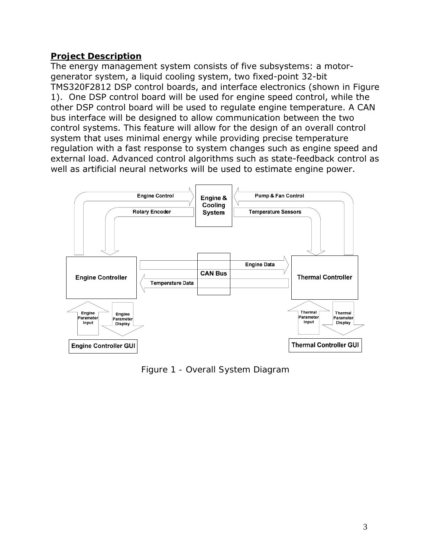# **Project Description**

The energy management system consists of five subsystems: a motorgenerator system, a liquid cooling system, two fixed-point 32-bit TMS320F2812 DSP control boards, and interface electronics (shown in Figure 1). One DSP control board will be used for engine speed control, while the other DSP control board will be used to regulate engine temperature. A CAN bus interface will be designed to allow communication between the two control systems. This feature will allow for the design of an overall control system that uses minimal energy while providing precise temperature regulation with a fast response to system changes such as engine speed and external load. Advanced control algorithms such as state-feedback control as well as artificial neural networks will be used to estimate engine power.



*Figure 1 - Overall System Diagram*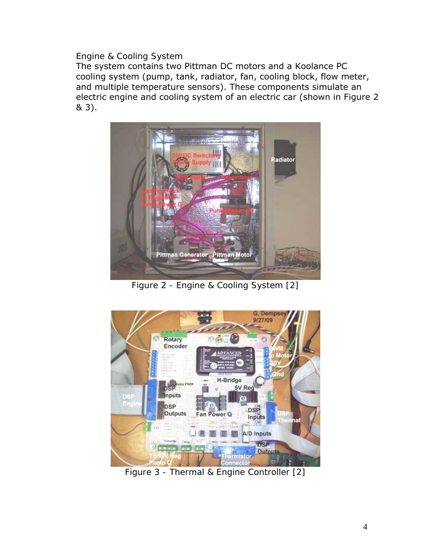## *Engine & Cooling System*

The system contains two Pittman DC motors and a Koolance PC cooling system (pump, tank, radiator, fan, cooling block, flow meter, and multiple temperature sensors). These components simulate an electric engine and cooling system of an electric car (shown in Figure 2 & 3).



*Figure 2 - Engine & Cooling System [2]* 



*Figure 3 - Thermal & Engine Controller [2]*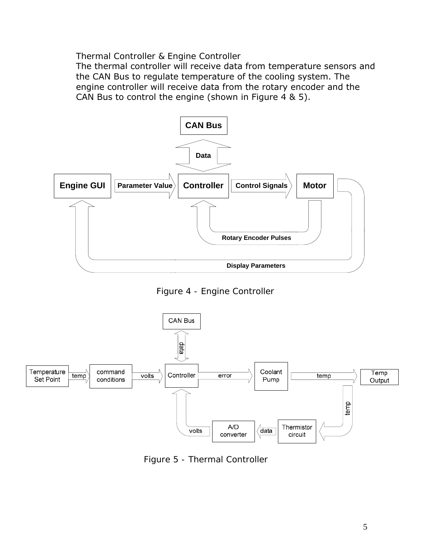#### *Thermal Controller & Engine Controller*

The thermal controller will receive data from temperature sensors and the CAN Bus to regulate temperature of the cooling system. The engine controller will receive data from the rotary encoder and the CAN Bus to control the engine (shown in Figure 4 & 5).



*Figure 4 - Engine Controller* 



*Figure 5 - Thermal Controller*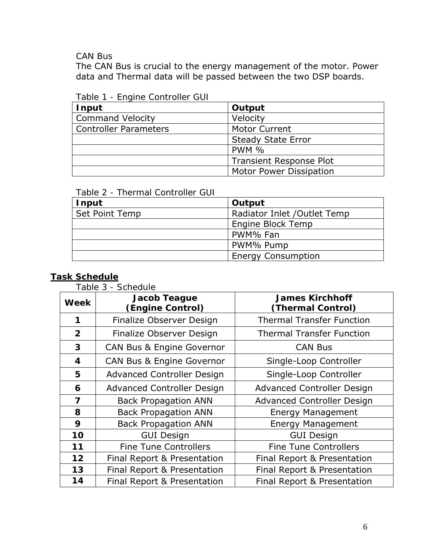*CAN Bus* 

The CAN Bus is crucial to the energy management of the motor. Power data and Thermal data will be passed between the two DSP boards.

| Input                        | Output                         |
|------------------------------|--------------------------------|
| <b>Command Velocity</b>      | Velocity                       |
| <b>Controller Parameters</b> | <b>Motor Current</b>           |
|                              | <b>Steady State Error</b>      |
|                              | <b>PWM %</b>                   |
|                              | <b>Transient Response Plot</b> |
|                              | <b>Motor Power Dissipation</b> |

*Table 1 - Engine Controller GUI*

*Table 2 - Thermal Controller GUI*

| Input                 | Output                       |
|-----------------------|------------------------------|
| <b>Set Point Temp</b> | Radiator Inlet / Outlet Temp |
|                       | Engine Block Temp            |
|                       | PWM% Fan                     |
|                       | PWM% Pump                    |
|                       | <b>Energy Consumption</b>    |

## **Task Schedule**

*Table 3 - Schedule*

| <b>Week</b>  | Jacob Teague<br>(Engine Control)     | <b>James Kirchhoff</b><br>(Thermal Control) |  |
|--------------|--------------------------------------|---------------------------------------------|--|
| 1            | Finalize Observer Design             | <b>Thermal Transfer Function</b>            |  |
| $\mathbf{2}$ | Finalize Observer Design             | <b>Thermal Transfer Function</b>            |  |
| 3            | <b>CAN Bus &amp; Engine Governor</b> | <b>CAN Bus</b>                              |  |
| 4            | <b>CAN Bus &amp; Engine Governor</b> | Single-Loop Controller                      |  |
| 5            | <b>Advanced Controller Design</b>    | Single-Loop Controller                      |  |
| 6            | <b>Advanced Controller Design</b>    | <b>Advanced Controller Design</b>           |  |
| 7            | <b>Back Propagation ANN</b>          | <b>Advanced Controller Design</b>           |  |
| 8            | <b>Back Propagation ANN</b>          | <b>Energy Management</b>                    |  |
| 9            | <b>Back Propagation ANN</b>          | <b>Energy Management</b>                    |  |
| 10           | <b>GUI Design</b>                    | <b>GUI Design</b>                           |  |
| 11           | <b>Fine Tune Controllers</b>         | <b>Fine Tune Controllers</b>                |  |
| 12           | Final Report & Presentation          | Final Report & Presentation                 |  |
| 13           | Final Report & Presentation          | Final Report & Presentation                 |  |
| 14           | Final Report & Presentation          | Final Report & Presentation                 |  |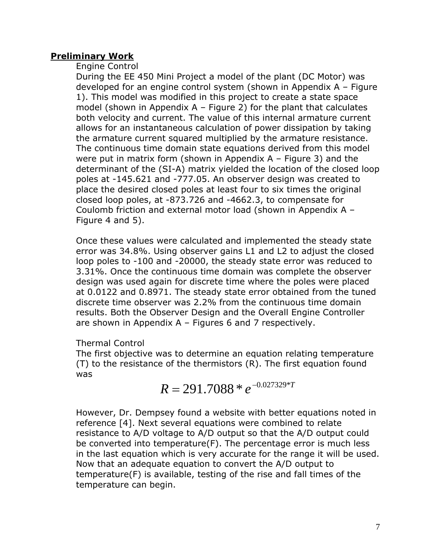## **Preliminary Work**

### *Engine Control*

During the EE 450 Mini Project a model of the plant (DC Motor) was developed for an engine control system (shown in Appendix A – Figure 1). This model was modified in this project to create a state space model (shown in Appendix  $A$  – Figure 2) for the plant that calculates both velocity and current. The value of this internal armature current allows for an instantaneous calculation of power dissipation by taking the armature current squared multiplied by the armature resistance. The continuous time domain state equations derived from this model were put in matrix form (shown in Appendix A – Figure 3) and the determinant of the (SI-A) matrix yielded the location of the closed loop poles at -145.621 and -777.05. An observer design was created to place the desired closed poles at least four to six times the original closed loop poles, at -873.726 and -4662.3, to compensate for Coulomb friction and external motor load (shown in Appendix A – Figure 4 and 5).

Once these values were calculated and implemented the steady state error was 34.8%. Using observer gains L1 and L2 to adjust the closed loop poles to -100 and -20000, the steady state error was reduced to 3.31%. Once the continuous time domain was complete the observer design was used again for discrete time where the poles were placed at 0.0122 and 0.8971. The steady state error obtained from the tuned discrete time observer was 2.2% from the continuous time domain results. Both the Observer Design and the Overall Engine Controller are shown in Appendix A – Figures 6 and 7 respectively.

## *Thermal Control*

The first objective was to determine an equation relating temperature (T) to the resistance of the thermistors (R). The first equation found was

 $R = 291.7088 * e^{-0.027329 * T}$ 

However, Dr. Dempsey found a website with better equations noted in reference [4]. Next several equations were combined to relate resistance to A/D voltage to A/D output so that the A/D output could be converted into temperature(F). The percentage error is much less in the last equation which is very accurate for the range it will be used. Now that an adequate equation to convert the A/D output to temperature(F) is available, testing of the rise and fall times of the temperature can begin.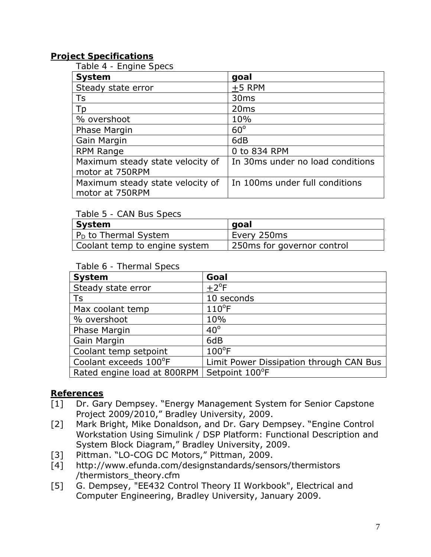# **Project Specifications**

*Table 4 - Engine Specs*

| System                           | goal                             |
|----------------------------------|----------------------------------|
| Steady state error               | $+5$ RPM                         |
| Ts                               | 30 <sub>ms</sub>                 |
| Tp                               | 20 <sub>ms</sub>                 |
| % overshoot                      | 10%                              |
| Phase Margin                     | $60^\circ$                       |
| Gain Margin                      | 6dB                              |
| <b>RPM Range</b>                 | 0 to 834 RPM                     |
| Maximum steady state velocity of | In 30ms under no load conditions |
| motor at 750RPM                  |                                  |
| Maximum steady state velocity of | In 100ms under full conditions   |
| motor at 750RPM                  |                                  |

#### *Table 5 - CAN Bus Specs*

| System                        | goal                        |
|-------------------------------|-----------------------------|
| $ P_{D}$ to Thermal System    | Every 250ms                 |
| Coolant temp to engine system | 250 ms for governor control |

#### *Table 6 - Thermal Specs*

| System                      | Goal                                    |
|-----------------------------|-----------------------------------------|
| Steady state error          | $+2$ <sup>o</sup> F                     |
| Ts                          | 10 seconds                              |
| Max coolant temp            | $110^{\circ}$ F                         |
| % overshoot                 | 10%                                     |
| Phase Margin                | $40^{\circ}$                            |
| Gain Margin                 | 6dB                                     |
| Coolant temp setpoint       | $100^{\circ}$ F                         |
| Coolant exceeds 100°F       | Limit Power Dissipation through CAN Bus |
| Rated engine load at 800RPM | Setpoint 100°F                          |

## **References**

- [1] Dr. Gary Dempsey. "Energy Management System for Senior Capstone Project 2009/2010," Bradley University, 2009.
- [2] Mark Bright, Mike Donaldson, and Dr. Gary Dempsey. "Engine Control Workstation Using Simulink / DSP Platform: Functional Description and System Block Diagram," Bradley University, 2009.
- [3] Pittman. "LO-COG DC Motors," Pittman, 2009.
- [4] http://www.efunda.com/designstandards/sensors/thermistors /thermistors\_theory.cfm
- [5] G. Dempsey, "EE432 Control Theory II Workbook", Electrical and Computer Engineering, Bradley University, January 2009.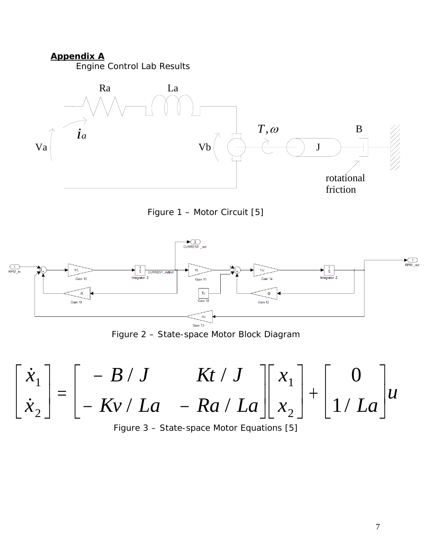#### **Appendix A**

*Engine Control Lab Results* 



*Figure 1 – Motor Circuit [5]* 



*Figure 2 – State-space Motor Block Diagram* 



7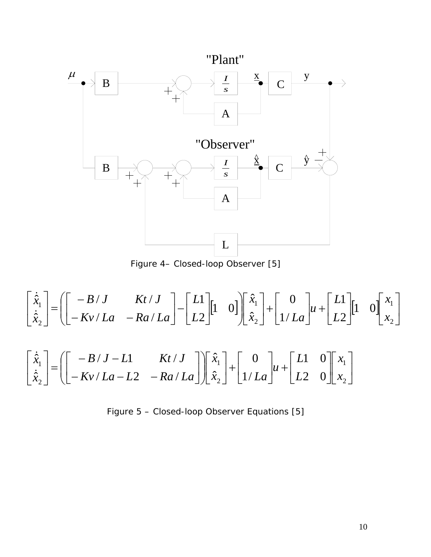

*Figure 4– Closed-loop Observer [5]* 

$$
\begin{bmatrix} \dot{\hat{x}}_1 \\ \dot{\hat{x}}_2 \end{bmatrix} = \left( \begin{bmatrix} -B/J & Kt/J \\ -Kv/La & -Ra/La \end{bmatrix} - \begin{bmatrix} L1 \\ L2 \end{bmatrix} \begin{bmatrix} 1 & 0 \end{bmatrix} \begin{bmatrix} \hat{x}_1 \\ \hat{x}_2 \end{bmatrix} + \begin{bmatrix} 0 \\ 1/La \end{bmatrix} u + \begin{bmatrix} L1 \\ L2 \end{bmatrix} \begin{bmatrix} 1 & 0 \end{bmatrix} \begin{bmatrix} x_1 \\ x_2 \end{bmatrix}
$$

$$
\begin{bmatrix} \dot{\hat{x}}_1 \\ \dot{\hat{x}}_2 \end{bmatrix} = \left( \begin{bmatrix} -B/J - L1 & Kt/J \\ -Kv/La - L2 & -Ra/La \end{bmatrix} \begin{bmatrix} \hat{x}_1 \\ \hat{x}_2 \end{bmatrix} + \begin{bmatrix} 0 \\ 1/La \end{bmatrix} u + \begin{bmatrix} L1 & 0 \\ L2 & 0 \end{bmatrix} \begin{bmatrix} x_1 \\ x_2 \end{bmatrix}
$$

*Figure 5 – Closed-loop Observer Equations [5]*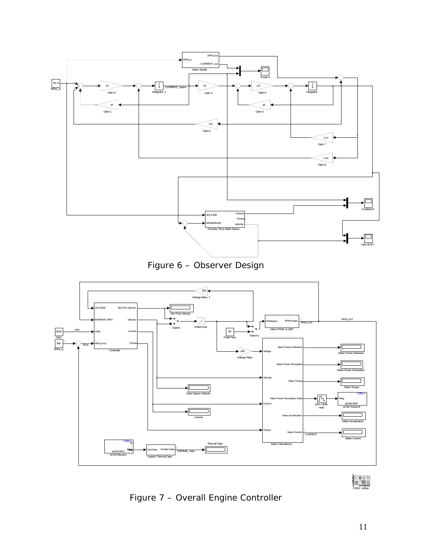





 $\begin{array}{r} \n\begin{array}{ccc}\n\bullet & \bullet & \bullet \\
\bullet & \bullet & \bullet \\
\end{array} \\
\hline\n\end{array}$ 

*Figure 7 – Overall Engine Controller*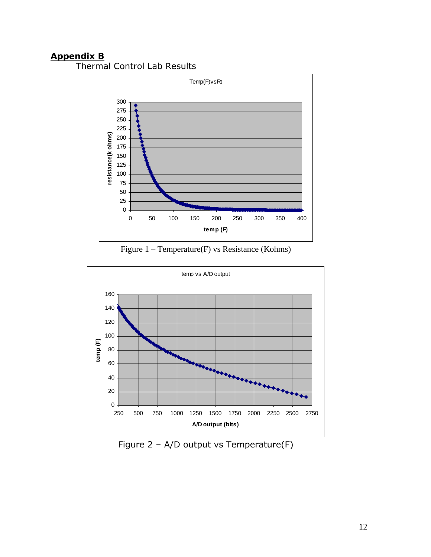# **Appendix B**

Thermal Control Lab Results



Figure 1 – Temperature(F) vs Resistance (Kohms)



Figure 2 – A/D output vs Temperature(F)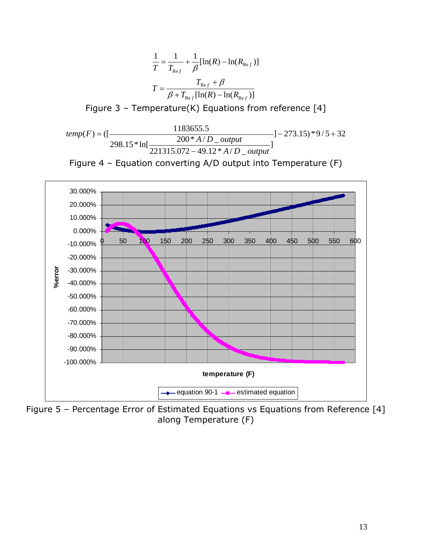$$
\frac{1}{T} = \frac{1}{T_{\text{Re}f}} + \frac{1}{\beta} [\ln(R) - \ln(R_{\text{Re}f})]
$$

$$
T = \frac{T_{\text{Re}f} + \beta}{\beta + T_{\text{Re}f} [\ln(R) - \ln(R_{\text{Re}f})]}
$$

Figure 3 – Temperature(K) Equations from reference  $[4]$ 

$$
temp(F) = \left(\left[\frac{1183655.5}{298.15 * \ln\left[\frac{200 * A/D\_output}{221315.072 - 49.12 * A/D\_output}\right]}\right] - 273.15) * 9/5 + 32
$$





Figure 5 – Percentage Error of Estimated Equations vs Equations from Reference [4] along Temperature (F)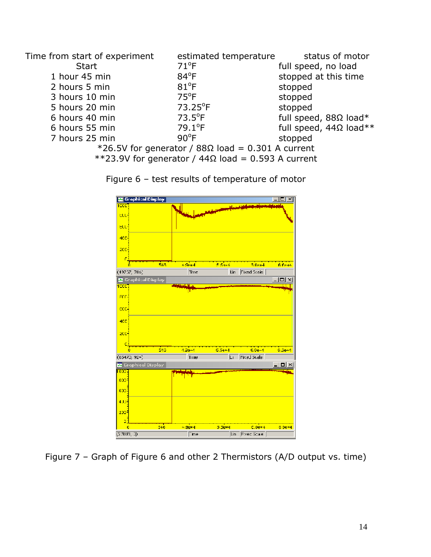| Time from start of experiment                      | estimated temperature | status of motor               |  |
|----------------------------------------------------|-----------------------|-------------------------------|--|
| <b>Start</b>                                       | $71^{\circ}F$         | full speed, no load           |  |
| 1 hour 45 min                                      | $84^{\circ}F$         | stopped at this time          |  |
| 2 hours 5 min                                      | $81^{\circ}$ F        | stopped                       |  |
| 3 hours 10 min                                     | $75^{\circ}F$         | stopped                       |  |
| 5 hours 20 min                                     | 73.25°F               | stopped                       |  |
| 6 hours 40 min                                     | $73.5^{\circ}F$       | full speed, $88\Omega$ load*  |  |
| 6 hours 55 min                                     | $79.1^{\circ}$ F      | full speed, $44\Omega$ load** |  |
| 7 hours 25 min                                     | $90^{\circ}$ F        | stopped                       |  |
| *26.5V for generator / 88Ω load = 0.301 A current  |                       |                               |  |
| **23.9V for generator / 44Ω load = 0.593 A current |                       |                               |  |



Figure 6 – test results of temperature of motor

Figure 7 – Graph of Figure 6 and other 2 Thermistors (A/D output vs. time)